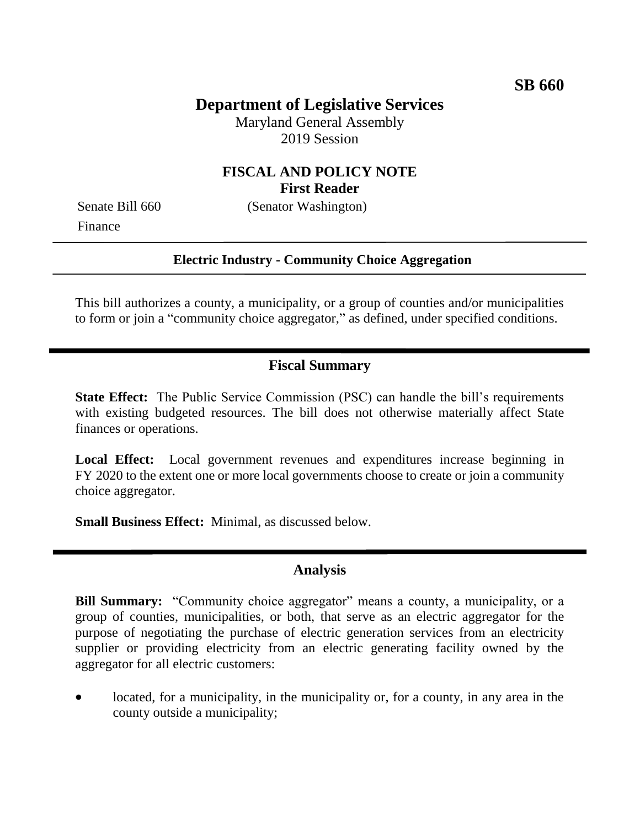# **Department of Legislative Services**

Maryland General Assembly 2019 Session

## **FISCAL AND POLICY NOTE First Reader**

Finance

Senate Bill 660 (Senator Washington)

#### **Electric Industry - Community Choice Aggregation**

This bill authorizes a county, a municipality, or a group of counties and/or municipalities to form or join a "community choice aggregator," as defined, under specified conditions.

#### **Fiscal Summary**

**State Effect:** The Public Service Commission (PSC) can handle the bill's requirements with existing budgeted resources. The bill does not otherwise materially affect State finances or operations.

Local Effect: Local government revenues and expenditures increase beginning in FY 2020 to the extent one or more local governments choose to create or join a community choice aggregator.

**Small Business Effect:** Minimal, as discussed below.

### **Analysis**

**Bill Summary:** "Community choice aggregator" means a county, a municipality, or a group of counties, municipalities, or both, that serve as an electric aggregator for the purpose of negotiating the purchase of electric generation services from an electricity supplier or providing electricity from an electric generating facility owned by the aggregator for all electric customers:

 located, for a municipality, in the municipality or, for a county, in any area in the county outside a municipality;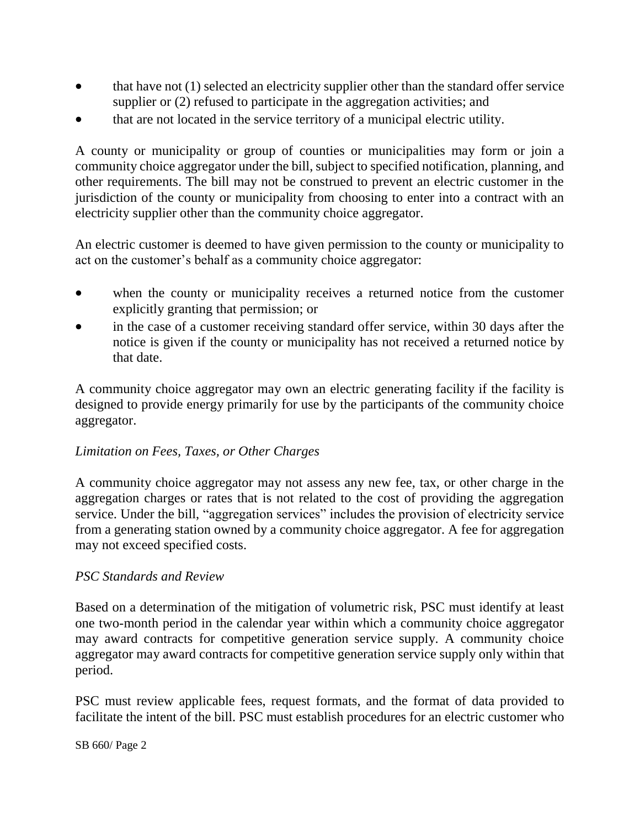- that have not (1) selected an electricity supplier other than the standard offer service supplier or  $(2)$  refused to participate in the aggregation activities; and
- that are not located in the service territory of a municipal electric utility.

A county or municipality or group of counties or municipalities may form or join a community choice aggregator under the bill, subject to specified notification, planning, and other requirements. The bill may not be construed to prevent an electric customer in the jurisdiction of the county or municipality from choosing to enter into a contract with an electricity supplier other than the community choice aggregator.

An electric customer is deemed to have given permission to the county or municipality to act on the customer's behalf as a community choice aggregator:

- when the county or municipality receives a returned notice from the customer explicitly granting that permission; or
- in the case of a customer receiving standard offer service, within 30 days after the notice is given if the county or municipality has not received a returned notice by that date.

A community choice aggregator may own an electric generating facility if the facility is designed to provide energy primarily for use by the participants of the community choice aggregator.

#### *Limitation on Fees, Taxes, or Other Charges*

A community choice aggregator may not assess any new fee, tax, or other charge in the aggregation charges or rates that is not related to the cost of providing the aggregation service. Under the bill, "aggregation services" includes the provision of electricity service from a generating station owned by a community choice aggregator. A fee for aggregation may not exceed specified costs.

#### *PSC Standards and Review*

Based on a determination of the mitigation of volumetric risk, PSC must identify at least one two-month period in the calendar year within which a community choice aggregator may award contracts for competitive generation service supply. A community choice aggregator may award contracts for competitive generation service supply only within that period.

PSC must review applicable fees, request formats, and the format of data provided to facilitate the intent of the bill. PSC must establish procedures for an electric customer who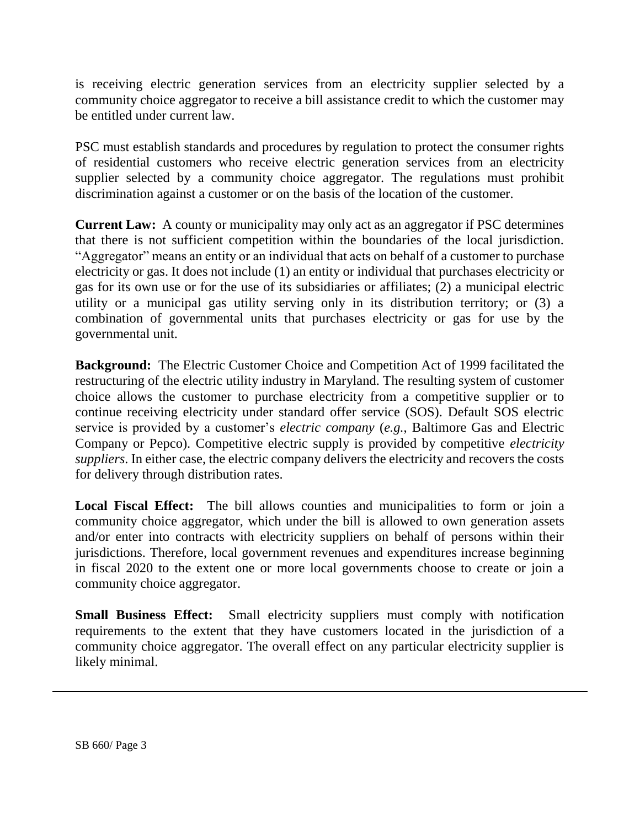is receiving electric generation services from an electricity supplier selected by a community choice aggregator to receive a bill assistance credit to which the customer may be entitled under current law.

PSC must establish standards and procedures by regulation to protect the consumer rights of residential customers who receive electric generation services from an electricity supplier selected by a community choice aggregator. The regulations must prohibit discrimination against a customer or on the basis of the location of the customer.

**Current Law:** A county or municipality may only act as an aggregator if PSC determines that there is not sufficient competition within the boundaries of the local jurisdiction. "Aggregator" means an entity or an individual that acts on behalf of a customer to purchase electricity or gas. It does not include (1) an entity or individual that purchases electricity or gas for its own use or for the use of its subsidiaries or affiliates; (2) a municipal electric utility or a municipal gas utility serving only in its distribution territory; or (3) a combination of governmental units that purchases electricity or gas for use by the governmental unit.

**Background:** The Electric Customer Choice and Competition Act of 1999 facilitated the restructuring of the electric utility industry in Maryland. The resulting system of customer choice allows the customer to purchase electricity from a competitive supplier or to continue receiving electricity under standard offer service (SOS). Default SOS electric service is provided by a customer's *electric company* (*e.g.*, Baltimore Gas and Electric Company or Pepco). Competitive electric supply is provided by competitive *electricity suppliers*. In either case, the electric company delivers the electricity and recovers the costs for delivery through distribution rates.

**Local Fiscal Effect:** The bill allows counties and municipalities to form or join a community choice aggregator, which under the bill is allowed to own generation assets and/or enter into contracts with electricity suppliers on behalf of persons within their jurisdictions. Therefore, local government revenues and expenditures increase beginning in fiscal 2020 to the extent one or more local governments choose to create or join a community choice aggregator.

**Small Business Effect:** Small electricity suppliers must comply with notification requirements to the extent that they have customers located in the jurisdiction of a community choice aggregator. The overall effect on any particular electricity supplier is likely minimal.